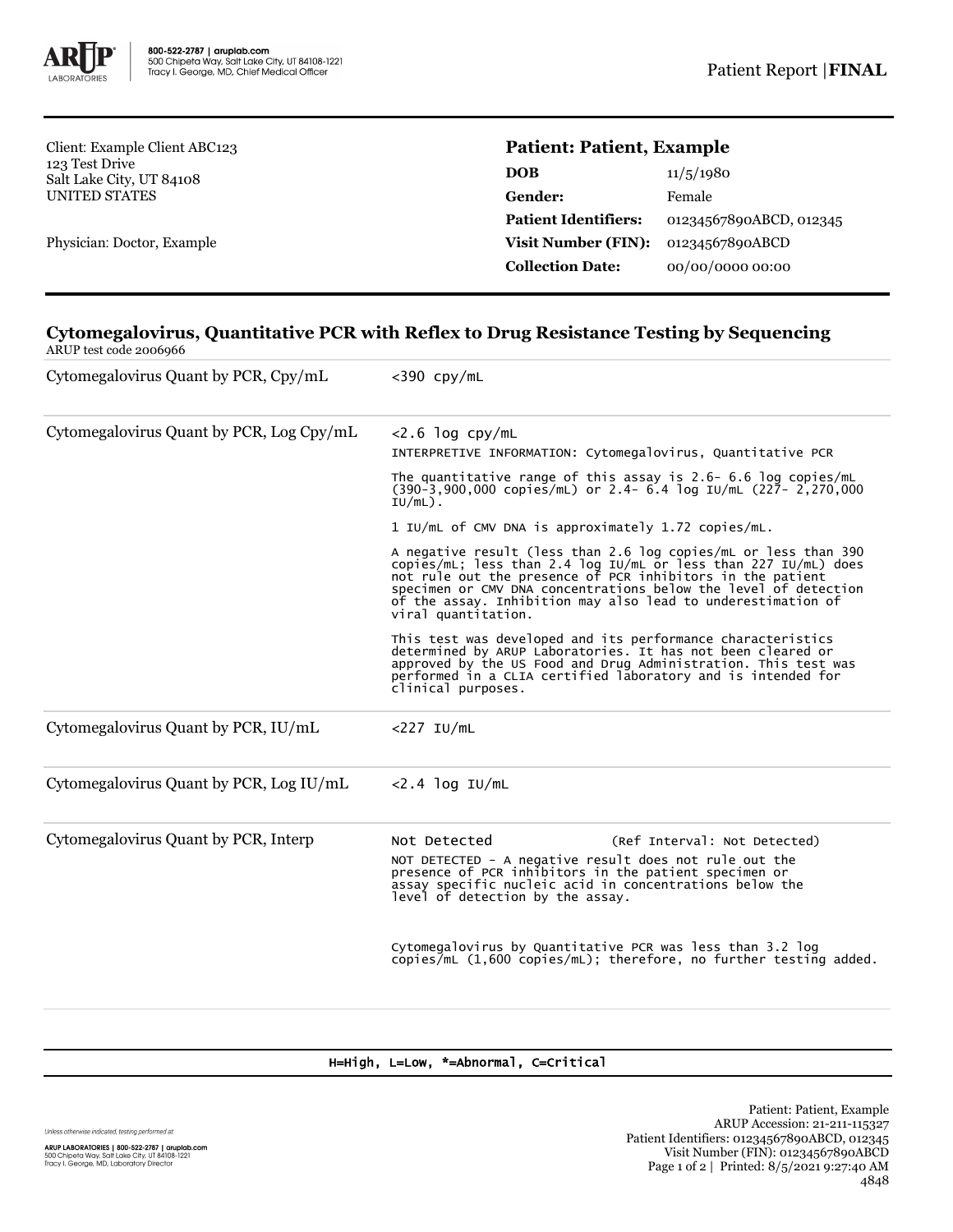

Client: Example Client ABC123 123 Test Drive Salt Lake City, UT 84108 UNITED STATES

Physician: Doctor, Example

## **Patient: Patient, Example**

| 11/5/1980               |
|-------------------------|
| Female                  |
| 01234567890ABCD, 012345 |
| 01234567890ABCD         |
| 00/00/0000 00:00        |
|                         |

## **Cytomegalovirus, Quantitative PCR with Reflex to Drug Resistance Testing by Sequencing** ARUP test code 2006966

| Cytomegalovirus Quant by PCR, Cpy/mL     | $<$ 390 cpy/mL                                                                                                                                                                                                                                                                                                                                             |  |  |  |
|------------------------------------------|------------------------------------------------------------------------------------------------------------------------------------------------------------------------------------------------------------------------------------------------------------------------------------------------------------------------------------------------------------|--|--|--|
| Cytomegalovirus Quant by PCR, Log Cpy/mL | $<$ 2.6 log cpy/mL<br>INTERPRETIVE INFORMATION: Cytomegalovirus, Quantitative PCR                                                                                                                                                                                                                                                                          |  |  |  |
|                                          | The quantitative range of this assay is $2.6$ - 6.6 log copies/mL<br>$(390-3,900,000$ copies/mL) or 2.4- 6.4 log IU/mL $(227 - 2,270,000)$<br>$IU/mL$ ).                                                                                                                                                                                                   |  |  |  |
|                                          | 1 IU/mL of CMV DNA is approximately 1.72 copies/mL.                                                                                                                                                                                                                                                                                                        |  |  |  |
|                                          | A negative result (less than 2.6 log copies/mL or less than 390<br>copies/mL; less than 2.4 log IU/mL or less than 227 IU/mL) does<br>not rule out the presence of PCR inhibitors in the patient<br>specimen or CMV DNA concentrations below the level of detection<br>of the assay. Inhibition may also lead to underestimation of<br>viral quantitation. |  |  |  |
|                                          | This test was developed and its performance characteristics<br>determined by ARUP Laboratories. It has not been cleared or<br>approved by the US Food and Drug Administration. This test was<br>performed in a CLIA certified laboratory and is intended for<br>clinical purposes.                                                                         |  |  |  |
| Cytomegalovirus Quant by PCR, IU/mL      | $<$ 227 IU/mL                                                                                                                                                                                                                                                                                                                                              |  |  |  |
| Cytomegalovirus Quant by PCR, Log IU/mL  | $<$ 2.4 log IU/mL                                                                                                                                                                                                                                                                                                                                          |  |  |  |
| Cytomegalovirus Quant by PCR, Interp     | Not Detected<br>(Ref Interval: Not Detected)<br>NOT DETECTED - A negative result does not rule out the<br>presence of PCR inhibitors in the patient specimen or<br>assay specific nucleic acid in concentrations below the<br>level of detection by the assay.                                                                                             |  |  |  |
|                                          | Cytomegalovirus by Quantitative PCR was less than 3.2 log<br>copies/mL $(1,600$ copies/mL); therefore, no further testing added.                                                                                                                                                                                                                           |  |  |  |

## H=High, L=Low, \*=Abnormal, C=Critical

Unless otherwise indicated, testing performed at: